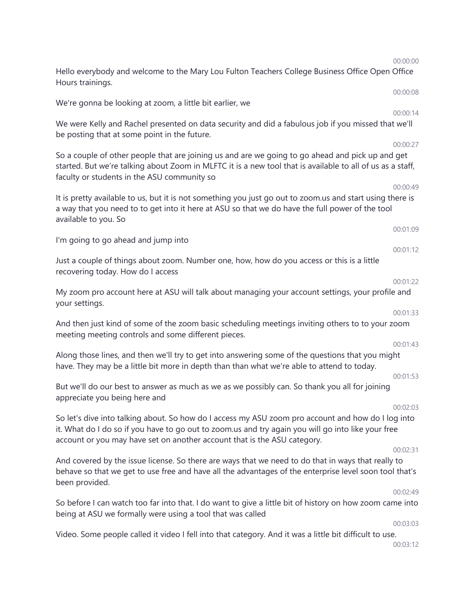00:00:00 Hello everybody and welcome to the Mary Lou Fulton Teachers College Business Office Open Office Hours trainings. 00:00:08 We're gonna be looking at zoom, a little bit earlier, we 00:00:14 We were Kelly and Rachel presented on data security and did a fabulous job if you missed that we'll be posting that at some point in the future. 00:00:27 So a couple of other people that are joining us and are we going to go ahead and pick up and get started. But we're talking about Zoom in MLFTC it is a new tool that is available to all of us as a staff, faculty or students in the ASU community so 00:00:49 It is pretty available to us, but it is not something you just go out to zoom.us and start using there is a way that you need to to get into it here at ASU so that we do have the full power of the tool available to you. So 00:01:09 I'm going to go ahead and jump into 00:01:12 Just a couple of things about zoom. Number one, how, how do you access or this is a little recovering today. How do I access 00:01:22 My zoom pro account here at ASU will talk about managing your account settings, your profile and your settings. 00:01:33 And then just kind of some of the zoom basic scheduling meetings inviting others to to your zoom meeting meeting controls and some different pieces. 00:01:43 Along those lines, and then we'll try to get into answering some of the questions that you might have. They may be a little bit more in depth than than what we're able to attend to today. 00:01:53 But we'll do our best to answer as much as we as we possibly can. So thank you all for joining appreciate you being here and 00:02:03 So let's dive into talking about. So how do I access my ASU zoom pro account and how do I log into it. What do I do so if you have to go out to zoom.us and try again you will go into like your free account or you may have set on another account that is the ASU category. 00:02:31 And covered by the issue license. So there are ways that we need to do that in ways that really to behave so that we get to use free and have all the advantages of the enterprise level soon tool that's been provided. 00:02:49 So before I can watch too far into that. I do want to give a little bit of history on how zoom came into being at ASU we formally were using a tool that was called 00:03:03 Video. Some people called it video I fell into that category. And it was a little bit difficult to use. 00:03:12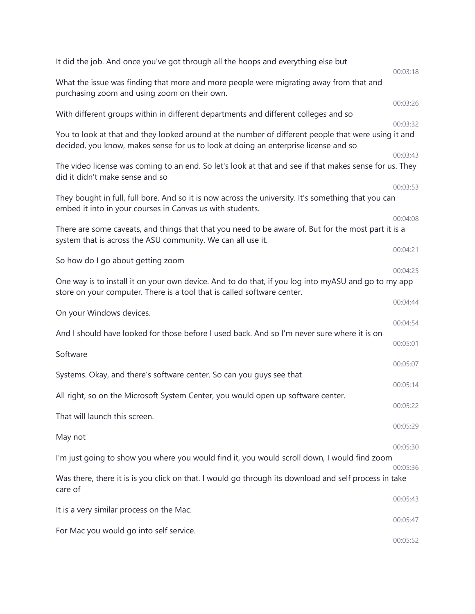| It did the job. And once you've got through all the hoops and everything else but                                                                                                          | 00:03:18             |
|--------------------------------------------------------------------------------------------------------------------------------------------------------------------------------------------|----------------------|
| What the issue was finding that more and more people were migrating away from that and<br>purchasing zoom and using zoom on their own.                                                     |                      |
|                                                                                                                                                                                            | 00:03:26             |
| With different groups within in different departments and different colleges and so                                                                                                        | 00:03:32             |
| You to look at that and they looked around at the number of different people that were using it and<br>decided, you know, makes sense for us to look at doing an enterprise license and so |                      |
|                                                                                                                                                                                            | 00:03:43             |
| The video license was coming to an end. So let's look at that and see if that makes sense for us. They<br>did it didn't make sense and so                                                  | 00:03:53             |
| They bought in full, full bore. And so it is now across the university. It's something that you can<br>embed it into in your courses in Canvas us with students.                           |                      |
|                                                                                                                                                                                            | 00:04:08             |
| There are some caveats, and things that that you need to be aware of. But for the most part it is a<br>system that is across the ASU community. We can all use it.                         |                      |
| So how do I go about getting zoom                                                                                                                                                          | 00:04:21             |
| One way is to install it on your own device. And to do that, if you log into myASU and go to my app<br>store on your computer. There is a tool that is called software center.             | 00:04:25             |
| On your Windows devices.                                                                                                                                                                   | 00:04:44             |
| And I should have looked for those before I used back. And so I'm never sure where it is on                                                                                                | 00:04:54             |
| Software                                                                                                                                                                                   | 00:05:01             |
|                                                                                                                                                                                            | 00:05:07             |
| Systems. Okay, and there's software center. So can you guys see that                                                                                                                       |                      |
| All right, so on the Microsoft System Center, you would open up software center.                                                                                                           | 00:05:14<br>00:05:22 |
| That will launch this screen.                                                                                                                                                              | 00:05:29             |
| May not                                                                                                                                                                                    | 00:05:30             |
| I'm just going to show you where you would find it, you would scroll down, I would find zoom                                                                                               | 00:05:36             |
| Was there, there it is is you click on that. I would go through its download and self process in take<br>care of                                                                           |                      |
| It is a very similar process on the Mac.                                                                                                                                                   | 00:05:43             |
|                                                                                                                                                                                            | 00:05:47             |
| For Mac you would go into self service.                                                                                                                                                    | 00:05:52             |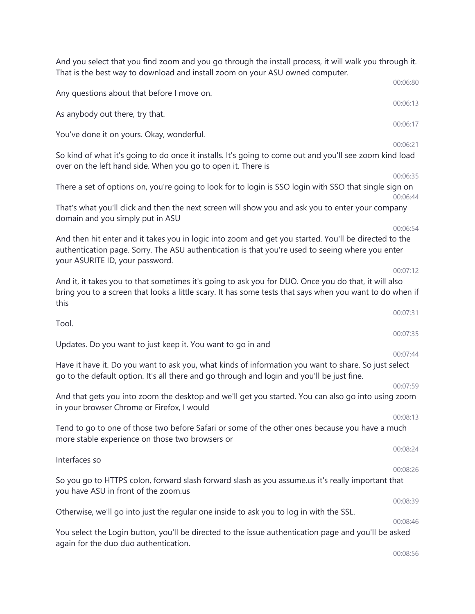That is the best way to download and install zoom on your ASU owned computer. 00:06:80 Any questions about that before I move on. 00:06:13 As anybody out there, try that. 00:06:17 You've done it on yours. Okay, wonderful. 00:06:21 So kind of what it's going to do once it installs. It's going to come out and you'll see zoom kind load over on the left hand side. When you go to open it. There is 00:06:35 There a set of options on, you're going to look for to login is SSO login with SSO that single sign on 00:06:44 That's what you'll click and then the next screen will show you and ask you to enter your company domain and you simply put in ASU 00:06:54 And then hit enter and it takes you in logic into zoom and get you started. You'll be directed to the authentication page. Sorry. The ASU authentication is that you're used to seeing where you enter your ASURITE ID, your password. 00:07:12 And it, it takes you to that sometimes it's going to ask you for DUO. Once you do that, it will also bring you to a screen that looks a little scary. It has some tests that says when you want to do when if this 00:07:31 Tool. 00:07:35 Updates. Do you want to just keep it. You want to go in and 00:07:44 Have it have it. Do you want to ask you, what kinds of information you want to share. So just select go to the default option. It's all there and go through and login and you'll be just fine. 00:07:59 And that gets you into zoom the desktop and we'll get you started. You can also go into using zoom in your browser Chrome or Firefox, I would 00:08:13 Tend to go to one of those two before Safari or some of the other ones because you have a much more stable experience on those two browsers or 00:08:24 Interfaces so 00:08:26 So you go to HTTPS colon, forward slash forward slash as you assume.us it's really important that you have ASU in front of the zoom.us 00:08:39 Otherwise, we'll go into just the regular one inside to ask you to log in with the SSL. 00:08:46 You select the Login button, you'll be directed to the issue authentication page and you'll be asked again for the duo duo authentication. 00:08:56

And you select that you find zoom and you go through the install process, it will walk you through it.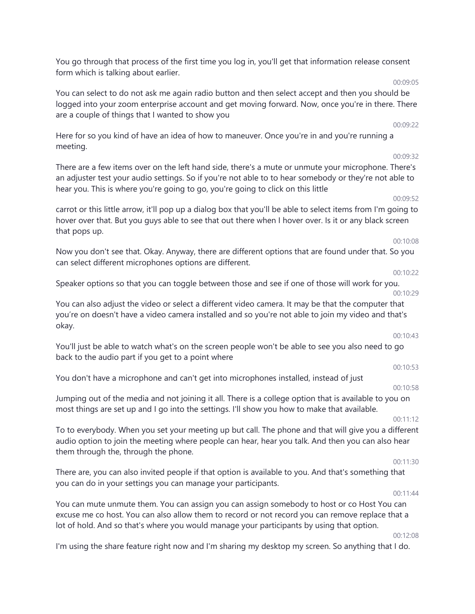You go through that process of the first time you log in, you'll get that information release consent form which is talking about earlier.

You can select to do not ask me again radio button and then select accept and then you should be logged into your zoom enterprise account and get moving forward. Now, once you're in there. There are a couple of things that I wanted to show you

Here for so you kind of have an idea of how to maneuver. Once you're in and you're running a meeting.

There are a few items over on the left hand side, there's a mute or unmute your microphone. There's an adjuster test your audio settings. So if you're not able to to hear somebody or they're not able to hear you. This is where you're going to go, you're going to click on this little

carrot or this little arrow, it'll pop up a dialog box that you'll be able to select items from I'm going to hover over that. But you guys able to see that out there when I hover over. Is it or any black screen that pops up.

Now you don't see that. Okay. Anyway, there are different options that are found under that. So you can select different microphones options are different.

Speaker options so that you can toggle between those and see if one of those will work for you.

You can also adjust the video or select a different video camera. It may be that the computer that you're on doesn't have a video camera installed and so you're not able to join my video and that's okay.

You'll just be able to watch what's on the screen people won't be able to see you also need to go back to the audio part if you get to a point where

You don't have a microphone and can't get into microphones installed, instead of just

00:10:58

00:10:53

00:10:43

Jumping out of the media and not joining it all. There is a college option that is available to you on most things are set up and I go into the settings. I'll show you how to make that available.

00:11:12

To to everybody. When you set your meeting up but call. The phone and that will give you a different audio option to join the meeting where people can hear, hear you talk. And then you can also hear them through the, through the phone.

00:11:30

There are, you can also invited people if that option is available to you. And that's something that you can do in your settings you can manage your participants.

00:11:44

You can mute unmute them. You can assign you can assign somebody to host or co Host You can excuse me co host. You can also allow them to record or not record you can remove replace that a lot of hold. And so that's where you would manage your participants by using that option.

00:12:08

I'm using the share feature right now and I'm sharing my desktop my screen. So anything that I do.

#### 00:09:52

00:09:05

00:09:22

00:09:32

### 00:10:29

# 00:10:08

00:10:22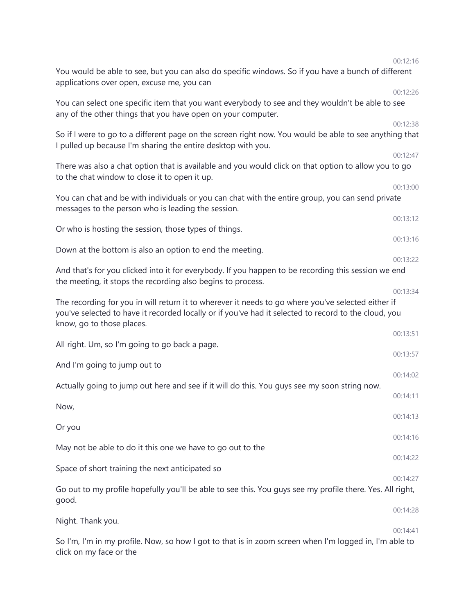|                                                                                                                                                                                                                                         | 00:12:16 |
|-----------------------------------------------------------------------------------------------------------------------------------------------------------------------------------------------------------------------------------------|----------|
| You would be able to see, but you can also do specific windows. So if you have a bunch of different<br>applications over open, excuse me, you can                                                                                       |          |
|                                                                                                                                                                                                                                         | 00:12:26 |
| You can select one specific item that you want everybody to see and they wouldn't be able to see<br>any of the other things that you have open on your computer.                                                                        |          |
|                                                                                                                                                                                                                                         | 00:12:38 |
| So if I were to go to a different page on the screen right now. You would be able to see anything that<br>I pulled up because I'm sharing the entire desktop with you.                                                                  |          |
|                                                                                                                                                                                                                                         | 00:12:47 |
| There was also a chat option that is available and you would click on that option to allow you to go<br>to the chat window to close it to open it up.                                                                                   |          |
|                                                                                                                                                                                                                                         | 00:13:00 |
| You can chat and be with individuals or you can chat with the entire group, you can send private<br>messages to the person who is leading the session.                                                                                  |          |
|                                                                                                                                                                                                                                         | 00:13:12 |
| Or who is hosting the session, those types of things.                                                                                                                                                                                   |          |
|                                                                                                                                                                                                                                         | 00:13:16 |
| Down at the bottom is also an option to end the meeting.                                                                                                                                                                                |          |
|                                                                                                                                                                                                                                         | 00:13:22 |
| And that's for you clicked into it for everybody. If you happen to be recording this session we end<br>the meeting, it stops the recording also begins to process.                                                                      |          |
|                                                                                                                                                                                                                                         | 00:13:34 |
| The recording for you in will return it to wherever it needs to go where you've selected either if<br>you've selected to have it recorded locally or if you've had it selected to record to the cloud, you<br>know, go to those places. |          |
|                                                                                                                                                                                                                                         | 00:13:51 |
| All right. Um, so I'm going to go back a page.                                                                                                                                                                                          |          |
|                                                                                                                                                                                                                                         | 00:13:57 |
| And I'm going to jump out to                                                                                                                                                                                                            |          |
|                                                                                                                                                                                                                                         | 00:14:02 |
| Actually going to jump out here and see if it will do this. You guys see my soon string now.                                                                                                                                            | 00:14:11 |
| Now,                                                                                                                                                                                                                                    |          |
|                                                                                                                                                                                                                                         | 00:14:13 |
| Or you                                                                                                                                                                                                                                  |          |
|                                                                                                                                                                                                                                         | 00:14:16 |
| May not be able to do it this one we have to go out to the                                                                                                                                                                              | 00:14:22 |
| Space of short training the next anticipated so                                                                                                                                                                                         |          |
|                                                                                                                                                                                                                                         | 00:14:27 |
| Go out to my profile hopefully you'll be able to see this. You guys see my profile there. Yes. All right,<br>good.                                                                                                                      |          |
|                                                                                                                                                                                                                                         | 00:14:28 |
| Night. Thank you.                                                                                                                                                                                                                       |          |
|                                                                                                                                                                                                                                         | 00:14:41 |
| So I'm, I'm in my profile. Now, so how I got to that is in zoom screen when I'm logged in, I'm able to<br>click on my face or the                                                                                                       |          |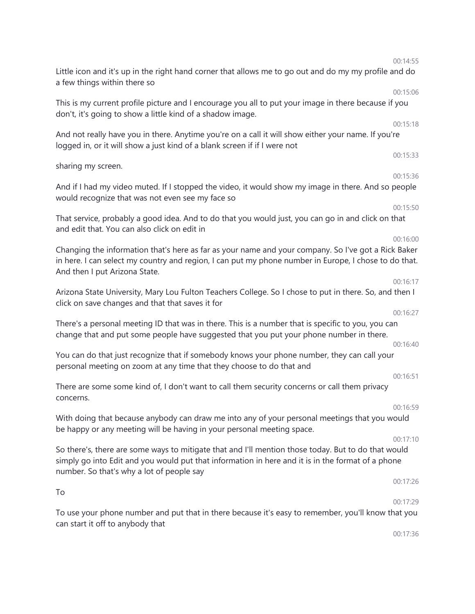| 00:14:55                                                                                                                                                                                                                 |  |
|--------------------------------------------------------------------------------------------------------------------------------------------------------------------------------------------------------------------------|--|
| Little icon and it's up in the right hand corner that allows me to go out and do my my profile and do<br>a few things within there so<br>00:15:06                                                                        |  |
| This is my current profile picture and I encourage you all to put your image in there because if you<br>don't, it's going to show a little kind of a shadow image.                                                       |  |
| 00:15:18<br>And not really have you in there. Anytime you're on a call it will show either your name. If you're<br>logged in, or it will show a just kind of a blank screen if if I were not                             |  |
| 00:15:33<br>sharing my screen.                                                                                                                                                                                           |  |
| 00:15:36<br>And if I had my video muted. If I stopped the video, it would show my image in there. And so people<br>would recognize that was not even see my face so                                                      |  |
| 00:15:50<br>That service, probably a good idea. And to do that you would just, you can go in and click on that<br>and edit that. You can also click on edit in                                                           |  |
| 00:16:00<br>Changing the information that's here as far as your name and your company. So I've got a Rick Baker<br>in here. I can select my country and region, I can put my phone number in Europe, I chose to do that. |  |
| And then I put Arizona State.<br>00:16:17<br>Arizona State University, Mary Lou Fulton Teachers College. So I chose to put in there. So, and then I                                                                      |  |
| click on save changes and that that saves it for<br>00:16:27                                                                                                                                                             |  |
| There's a personal meeting ID that was in there. This is a number that is specific to you, you can<br>change that and put some people have suggested that you put your phone number in there.<br>00:16:40                |  |
| You can do that just recognize that if somebody knows your phone number, they can call your<br>personal meeting on zoom at any time that they choose to do that and                                                      |  |
| 00:16:51<br>There are some some kind of, I don't want to call them security concerns or call them privacy<br>concerns.                                                                                                   |  |
| 00:16:59<br>With doing that because anybody can draw me into any of your personal meetings that you would                                                                                                                |  |
| be happy or any meeting will be having in your personal meeting space.<br>00:17:10<br>So there's, there are some ways to mitigate that and I'll mention those today. But to do that would                                |  |
| simply go into Edit and you would put that information in here and it is in the format of a phone<br>number. So that's why a lot of people say                                                                           |  |
| 00:17:26<br>To<br>00:17:29                                                                                                                                                                                               |  |
| To use your phone number and put that in there because it's easy to remember, you'll know that you<br>can start it off to anybody that                                                                                   |  |

00:17:36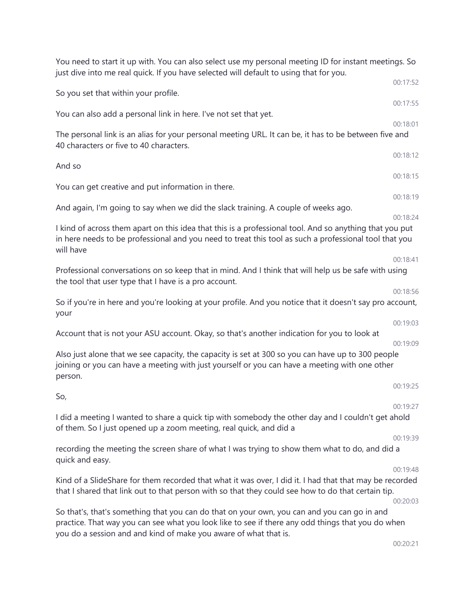| You need to start it up with. You can also select use my personal meeting ID for instant meetings. So<br>just dive into me real quick. If you have selected will default to using that for you.                                                                      |                      |
|----------------------------------------------------------------------------------------------------------------------------------------------------------------------------------------------------------------------------------------------------------------------|----------------------|
| So you set that within your profile.                                                                                                                                                                                                                                 | 00:17:52             |
| You can also add a personal link in here. I've not set that yet.                                                                                                                                                                                                     | 00:17:55             |
| The personal link is an alias for your personal meeting URL. It can be, it has to be between five and                                                                                                                                                                | 00:18:01             |
| 40 characters or five to 40 characters.                                                                                                                                                                                                                              | 00:18:12             |
| And so                                                                                                                                                                                                                                                               | 00:18:15             |
| You can get creative and put information in there.                                                                                                                                                                                                                   |                      |
| And again, I'm going to say when we did the slack training. A couple of weeks ago.                                                                                                                                                                                   | 00:18:19             |
| I kind of across them apart on this idea that this is a professional tool. And so anything that you put<br>in here needs to be professional and you need to treat this tool as such a professional tool that you<br>will have                                        | 00:18:24             |
| Professional conversations on so keep that in mind. And I think that will help us be safe with using<br>the tool that user type that I have is a pro account.                                                                                                        | 00:18:41             |
| So if you're in here and you're looking at your profile. And you notice that it doesn't say pro account,<br>your                                                                                                                                                     | 00:18:56             |
| Account that is not your ASU account. Okay, so that's another indication for you to look at                                                                                                                                                                          | 00:19:03<br>00:19:09 |
| Also just alone that we see capacity, the capacity is set at 300 so you can have up to 300 people<br>joining or you can have a meeting with just yourself or you can have a meeting with one other<br>person.                                                        |                      |
| So,                                                                                                                                                                                                                                                                  | 00:19:25             |
| I did a meeting I wanted to share a quick tip with somebody the other day and I couldn't get ahold<br>of them. So I just opened up a zoom meeting, real quick, and did a                                                                                             | 00:19:27             |
| recording the meeting the screen share of what I was trying to show them what to do, and did a<br>quick and easy.                                                                                                                                                    | 00:19:39             |
| Kind of a SlideShare for them recorded that what it was over, I did it. I had that that may be recorded<br>that I shared that link out to that person with so that they could see how to do that certain tip.                                                        | 00:19:48<br>00:20:03 |
| So that's, that's something that you can do that on your own, you can and you can go in and<br>practice. That way you can see what you look like to see if there any odd things that you do when<br>you do a session and and kind of make you aware of what that is. |                      |
|                                                                                                                                                                                                                                                                      | 00:20:21             |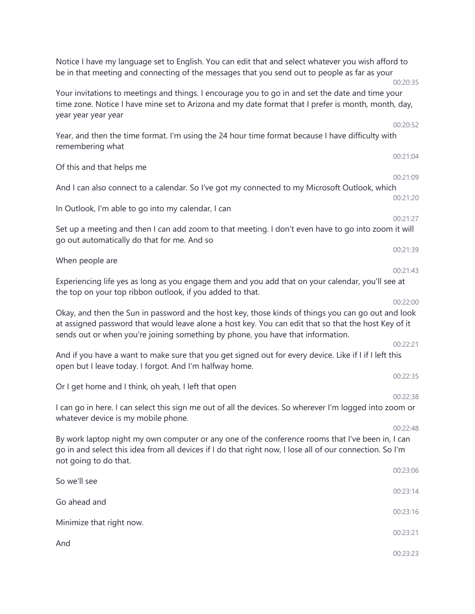| Notice I have my language set to English. You can edit that and select whatever you wish afford to<br>be in that meeting and connecting of the messages that you send out to people as far as your                                                                                            | 00:20:35             |
|-----------------------------------------------------------------------------------------------------------------------------------------------------------------------------------------------------------------------------------------------------------------------------------------------|----------------------|
| Your invitations to meetings and things. I encourage you to go in and set the date and time your<br>time zone. Notice I have mine set to Arizona and my date format that I prefer is month, month, day,<br>year year year year                                                                |                      |
| Year, and then the time format. I'm using the 24 hour time format because I have difficulty with<br>remembering what                                                                                                                                                                          | 00:20:52             |
| Of this and that helps me                                                                                                                                                                                                                                                                     | 00:21:04             |
| And I can also connect to a calendar. So I've got my connected to my Microsoft Outlook, which                                                                                                                                                                                                 | 00:21:09<br>00:21:20 |
| In Outlook, I'm able to go into my calendar, I can                                                                                                                                                                                                                                            | 00:21:27             |
| Set up a meeting and then I can add zoom to that meeting. I don't even have to go into zoom it will<br>go out automatically do that for me. And so                                                                                                                                            |                      |
| When people are                                                                                                                                                                                                                                                                               | 00:21:39<br>00:21:43 |
| Experiencing life yes as long as you engage them and you add that on your calendar, you'll see at<br>the top on your top ribbon outlook, if you added to that.                                                                                                                                |                      |
| Okay, and then the Sun in password and the host key, those kinds of things you can go out and look<br>at assigned password that would leave alone a host key. You can edit that so that the host Key of it<br>sends out or when you're joining something by phone, you have that information. | 00:22:00             |
| And if you have a want to make sure that you get signed out for every device. Like if I if I left this<br>open but I leave today. I forgot. And I'm halfway home.                                                                                                                             | 00:22:21             |
| Or I get home and I think, oh yeah, I left that open                                                                                                                                                                                                                                          | 00:22:35<br>00:22:38 |
| I can go in here. I can select this sign me out of all the devices. So wherever I'm logged into zoom or<br>whatever device is my mobile phone.                                                                                                                                                |                      |
| By work laptop night my own computer or any one of the conference rooms that I've been in, I can<br>go in and select this idea from all devices if I do that right now, I lose all of our connection. So I'm<br>not going to do that.                                                         | 00:22:48             |
| So we'll see                                                                                                                                                                                                                                                                                  | 00:23:06             |
| Go ahead and                                                                                                                                                                                                                                                                                  | 00:23:14             |
| Minimize that right now.                                                                                                                                                                                                                                                                      | 00:23:16<br>00:23:21 |
| And                                                                                                                                                                                                                                                                                           | 00:23:23             |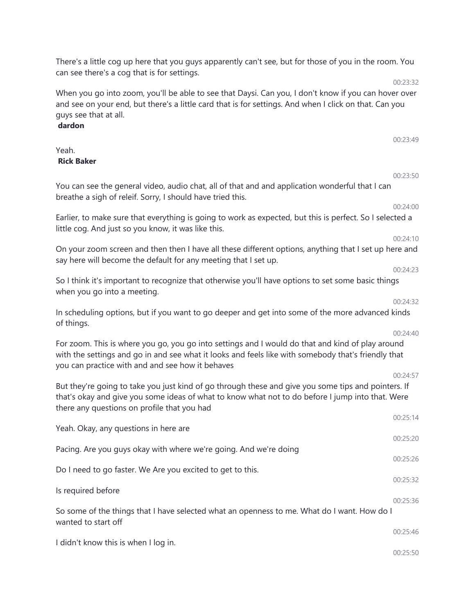| When you go into zoom, you'll be able to see that Daysi. Can you, I don't know if you can hover over                                                                                                                                                        | UU:23:32 |
|-------------------------------------------------------------------------------------------------------------------------------------------------------------------------------------------------------------------------------------------------------------|----------|
| and see on your end, but there's a little card that is for settings. And when I click on that. Can you<br>guys see that at all.<br>dardon                                                                                                                   |          |
|                                                                                                                                                                                                                                                             | 00:23:49 |
| Yeah.<br><b>Rick Baker</b>                                                                                                                                                                                                                                  |          |
|                                                                                                                                                                                                                                                             | 00:23:50 |
| You can see the general video, audio chat, all of that and and application wonderful that I can<br>breathe a sigh of releif. Sorry, I should have tried this.                                                                                               |          |
|                                                                                                                                                                                                                                                             | 00:24:00 |
| Earlier, to make sure that everything is going to work as expected, but this is perfect. So I selected a<br>little cog. And just so you know, it was like this.                                                                                             |          |
| On your zoom screen and then then I have all these different options, anything that I set up here and                                                                                                                                                       | 00:24:10 |
| say here will become the default for any meeting that I set up.                                                                                                                                                                                             |          |
| So I think it's important to recognize that otherwise you'll have options to set some basic things                                                                                                                                                          | 00:24:23 |
| when you go into a meeting.                                                                                                                                                                                                                                 | 00:24:32 |
| In scheduling options, but if you want to go deeper and get into some of the more advanced kinds<br>of things.                                                                                                                                              |          |
|                                                                                                                                                                                                                                                             | 00:24:40 |
| For zoom. This is where you go, you go into settings and I would do that and kind of play around<br>with the settings and go in and see what it looks and feels like with somebody that's friendly that<br>you can practice with and and see how it behaves |          |
|                                                                                                                                                                                                                                                             | 00:24:57 |
| But they're going to take you just kind of go through these and give you some tips and pointers. If<br>that's okay and give you some ideas of what to know what not to do before I jump into that. Were<br>there any questions on profile that you had      |          |
|                                                                                                                                                                                                                                                             | 00:25:14 |
| Yeah. Okay, any questions in here are                                                                                                                                                                                                                       | 00:25:20 |
| Pacing. Are you guys okay with where we're going. And we're doing                                                                                                                                                                                           | 00:25:26 |
| Do I need to go faster. We Are you excited to get to this.                                                                                                                                                                                                  | 00:25:32 |
| Is required before                                                                                                                                                                                                                                          | 00:25:36 |
| So some of the things that I have selected what an openness to me. What do I want. How do I<br>wanted to start off                                                                                                                                          |          |
|                                                                                                                                                                                                                                                             | 00:25:46 |
| I didn't know this is when I log in.                                                                                                                                                                                                                        | 00:25:50 |

There's a little cog up here that you guys apparently can't see, but for those of you in the room. You

00:23:32

can see there's a cog that is for settings.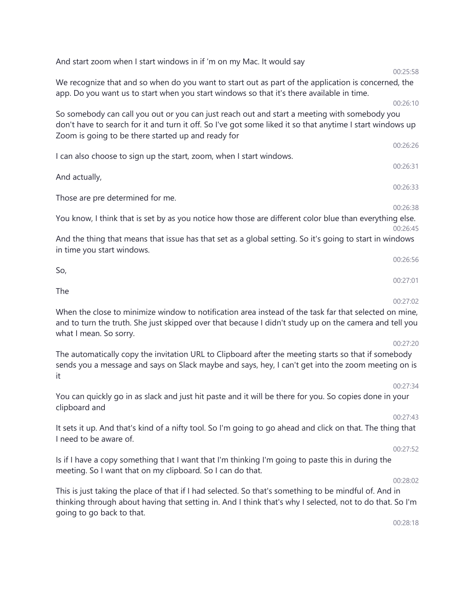And start zoom when I start windows in if 'm on my Mac. It would say

We recognize that and so when do you want to start out as part of the application is concerned, the app. Do you want us to start when you start windows so that it's there available in time.

So somebody can call you out or you can just reach out and start a meeting with somebody you don't have to search for it and turn it off. So I've got some liked it so that anytime I start windows up Zoom is going to be there started up and ready for

I can also choose to sign up the start, zoom, when I start windows.

Those are pre determined for me.

00:26:38

You know, I think that is set by as you notice how those are different color blue than everything else. 00:26:45

And the thing that means that issue has that set as a global setting. So it's going to start in windows in time you start windows.

So, 00:27:01

The

And actually,

00:27:02

00:26:56

When the close to minimize window to notification area instead of the task far that selected on mine, and to turn the truth. She just skipped over that because I didn't study up on the camera and tell you what I mean. So sorry.

#### 00:27:20

The automatically copy the invitation URL to Clipboard after the meeting starts so that if somebody sends you a message and says on Slack maybe and says, hey, I can't get into the zoom meeting on is it

You can quickly go in as slack and just hit paste and it will be there for you. So copies done in your clipboard and

#### 00:27:43

00:27:34

It sets it up. And that's kind of a nifty tool. So I'm going to go ahead and click on that. The thing that I need to be aware of.

#### 00:27:52

Is if I have a copy something that I want that I'm thinking I'm going to paste this in during the meeting. So I want that on my clipboard. So I can do that.

#### 00:28:02

This is just taking the place of that if I had selected. So that's something to be mindful of. And in thinking through about having that setting in. And I think that's why I selected, not to do that. So I'm going to go back to that.

00:28:18

#### 00:25:58

00:26:10

00:26:26

00:26:31

00:26:33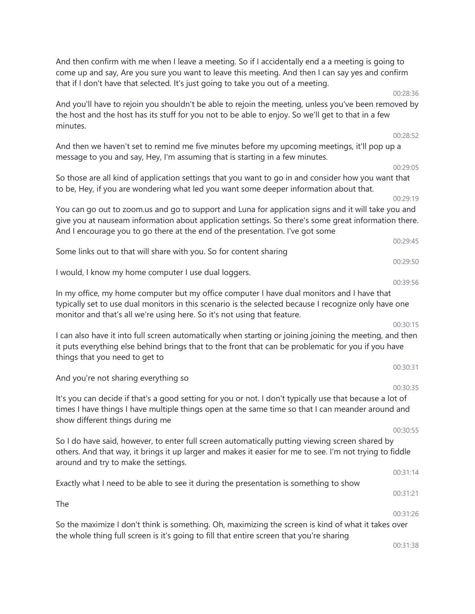And then confirm with me when I leave a meeting. So if I accidentally end a a meeting is going to come up and say, Are you sure you want to leave this meeting. And then I can say yes and confirm that if I don't have that selected. It's just going to take you out of a meeting. 00:28:36

And you'll have to rejoin you shouldn't be able to rejoin the meeting, unless you've been removed by the host and the host has its stuff for you not to be able to enjoy. So we'll get to that in a few minutes.

And then we haven't set to remind me five minutes before my upcoming meetings, it'll pop up a message to you and say, Hey, I'm assuming that is starting in a few minutes.

So those are all kind of application settings that you want to go in and consider how you want that to be, Hey, if you are wondering what led you want some deeper information about that.

You can go out to zoom.us and go to support and Luna for application signs and it will take you and give you at nauseam information about application settings. So there's some great information there. And I encourage you to go there at the end of the presentation. I've got some

Some links out to that will share with you. So for content sharing

I would, I know my home computer I use dual loggers.

In my office, my home computer but my office computer I have dual monitors and I have that typically set to use dual monitors in this scenario is the selected because I recognize only have one monitor and that's all we're using here. So it's not using that feature.

I can also have it into full screen automatically when starting or joining joining the meeting, and then it puts everything else behind brings that to the front that can be problematic for you if you have things that you need to get to

And you're not sharing everything so

The

It's you can decide if that's a good setting for you or not. I don't typically use that because a lot of times I have things I have multiple things open at the same time so that I can meander around and show different things during me

So I do have said, however, to enter full screen automatically putting viewing screen shared by others. And that way, it brings it up larger and makes it easier for me to see. I'm not trying to fiddle around and try to make the settings.

Exactly what I need to be able to see it during the presentation is something to show

00:31:21 00:31:26

So the maximize I don't think is something. Oh, maximizing the screen is kind of what it takes over the whole thing full screen is it's going to fill that entire screen that you're sharing

00:29:05

00:29:19

00:29:45

00:28:52

00:39:56

00:29:50

00:30:15

00:30:31

00:30:35

00:30:55

00:31:14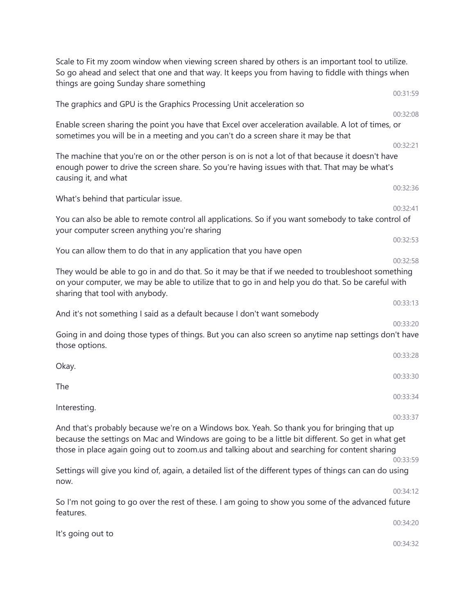| Scale to Fit my zoom window when viewing screen shared by others is an important tool to utilize.<br>So go ahead and select that one and that way. It keeps you from having to fiddle with things when<br>things are going Sunday share something                                                  |                      |
|----------------------------------------------------------------------------------------------------------------------------------------------------------------------------------------------------------------------------------------------------------------------------------------------------|----------------------|
|                                                                                                                                                                                                                                                                                                    | 00:31:59             |
| The graphics and GPU is the Graphics Processing Unit acceleration so                                                                                                                                                                                                                               | 00:32:08             |
| Enable screen sharing the point you have that Excel over acceleration available. A lot of times, or<br>sometimes you will be in a meeting and you can't do a screen share it may be that                                                                                                           |                      |
| The machine that you're on or the other person is on is not a lot of that because it doesn't have<br>enough power to drive the screen share. So you're having issues with that. That may be what's<br>causing it, and what                                                                         | 00:32:21             |
| What's behind that particular issue.                                                                                                                                                                                                                                                               | 00:32:36             |
| You can also be able to remote control all applications. So if you want somebody to take control of<br>your computer screen anything you're sharing                                                                                                                                                | 00:32:41             |
| You can allow them to do that in any application that you have open                                                                                                                                                                                                                                | 00:32:53<br>00:32:58 |
| They would be able to go in and do that. So it may be that if we needed to troubleshoot something<br>on your computer, we may be able to utilize that to go in and help you do that. So be careful with<br>sharing that tool with anybody.                                                         | 00:33:13             |
| And it's not something I said as a default because I don't want somebody                                                                                                                                                                                                                           | 00:33:20             |
| Going in and doing those types of things. But you can also screen so anytime nap settings don't have<br>those options.                                                                                                                                                                             |                      |
| Okay.                                                                                                                                                                                                                                                                                              | 00:33:28<br>00:33:30 |
| The                                                                                                                                                                                                                                                                                                | 00:33:34             |
| Interesting.                                                                                                                                                                                                                                                                                       | 00:33:37             |
| And that's probably because we're on a Windows box. Yeah. So thank you for bringing that up<br>because the settings on Mac and Windows are going to be a little bit different. So get in what get<br>those in place again going out to zoom.us and talking about and searching for content sharing | 00:33:59             |
| Settings will give you kind of, again, a detailed list of the different types of things can can do using<br>now.                                                                                                                                                                                   |                      |
| So I'm not going to go over the rest of these. I am going to show you some of the advanced future<br>features.                                                                                                                                                                                     | 00:34:12             |
| It's going out to                                                                                                                                                                                                                                                                                  | 00:34:20             |
|                                                                                                                                                                                                                                                                                                    | 00:34:32             |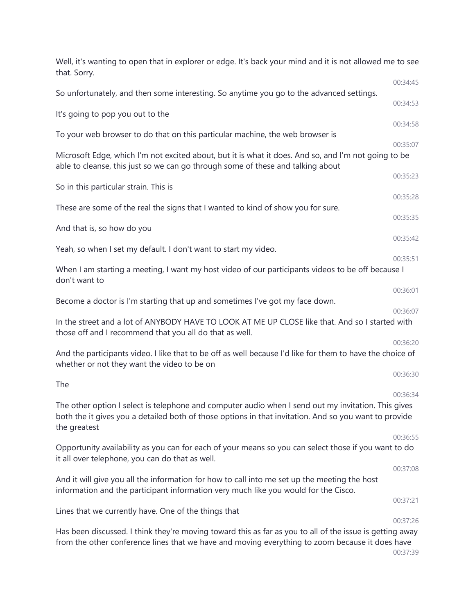| Well, it's wanting to open that in explorer or edge. It's back your mind and it is not allowed me to see<br>that. Sorry.                                                                                                     |          |
|------------------------------------------------------------------------------------------------------------------------------------------------------------------------------------------------------------------------------|----------|
|                                                                                                                                                                                                                              | 00:34:45 |
| So unfortunately, and then some interesting. So anytime you go to the advanced settings.                                                                                                                                     | 00:34:53 |
| It's going to pop you out to the                                                                                                                                                                                             | 00:34:58 |
| To your web browser to do that on this particular machine, the web browser is                                                                                                                                                | 00:35:07 |
| Microsoft Edge, which I'm not excited about, but it is what it does. And so, and I'm not going to be<br>able to cleanse, this just so we can go through some of these and talking about                                      |          |
| So in this particular strain. This is                                                                                                                                                                                        | 00:35:23 |
| These are some of the real the signs that I wanted to kind of show you for sure.                                                                                                                                             | 00:35:28 |
|                                                                                                                                                                                                                              | 00:35:35 |
| And that is, so how do you                                                                                                                                                                                                   | 00:35:42 |
| Yeah, so when I set my default. I don't want to start my video.                                                                                                                                                              | 00:35:51 |
| When I am starting a meeting, I want my host video of our participants videos to be off because I<br>don't want to                                                                                                           |          |
| Become a doctor is I'm starting that up and sometimes I've got my face down.                                                                                                                                                 | 00:36:01 |
|                                                                                                                                                                                                                              | 00:36:07 |
| In the street and a lot of ANYBODY HAVE TO LOOK AT ME UP CLOSE like that. And so I started with<br>those off and I recommend that you all do that as well.                                                                   |          |
| And the participants video. I like that to be off as well because I'd like for them to have the choice of<br>whether or not they want the video to be on                                                                     | 00:36:20 |
|                                                                                                                                                                                                                              | 00:36:30 |
| The                                                                                                                                                                                                                          | 00:36:34 |
| The other option I select is telephone and computer audio when I send out my invitation. This gives<br>both the it gives you a detailed both of those options in that invitation. And so you want to provide<br>the greatest |          |
| Opportunity availability as you can for each of your means so you can select those if you want to do<br>it all over telephone, you can do that as well.                                                                      | 00:36:55 |
|                                                                                                                                                                                                                              | 00:37:08 |
| And it will give you all the information for how to call into me set up the meeting the host<br>information and the participant information very much like you would for the Cisco.                                          |          |
| Lines that we currently have. One of the things that                                                                                                                                                                         | 00:37:21 |
|                                                                                                                                                                                                                              | 00:37:26 |
| Has been discussed. I think they're moving toward this as far as you to all of the issue is getting away<br>from the other conference lines that we have and moving everything to zoom because it does have                  | 00:37:39 |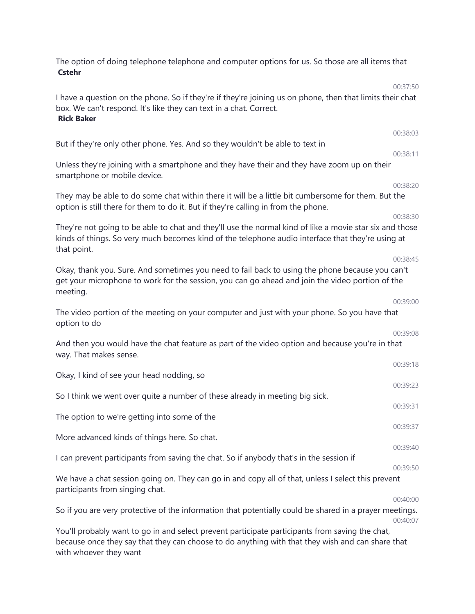| The option of doing telephone telephone and computer options for us. So those are all items that<br><b>Cstehr</b>                                                                                                           |          |
|-----------------------------------------------------------------------------------------------------------------------------------------------------------------------------------------------------------------------------|----------|
| I have a question on the phone. So if they're if they're joining us on phone, then that limits their chat<br>box. We can't respond. It's like they can text in a chat. Correct.<br><b>Rick Baker</b>                        | 00:37:50 |
|                                                                                                                                                                                                                             | 00:38:03 |
| But if they're only other phone. Yes. And so they wouldn't be able to text in                                                                                                                                               | 00:38:11 |
| Unless they're joining with a smartphone and they have their and they have zoom up on their<br>smartphone or mobile device.                                                                                                 |          |
| They may be able to do some chat within there it will be a little bit cumbersome for them. But the<br>option is still there for them to do it. But if they're calling in from the phone.                                    | 00:38:20 |
| They're not going to be able to chat and they'll use the normal kind of like a movie star six and those<br>kinds of things. So very much becomes kind of the telephone audio interface that they're using at<br>that point. | 00:38:30 |
| Okay, thank you. Sure. And sometimes you need to fail back to using the phone because you can't<br>get your microphone to work for the session, you can go ahead and join the video portion of the<br>meeting.              | 00:38:45 |
| The video portion of the meeting on your computer and just with your phone. So you have that<br>option to do                                                                                                                | 00:39:00 |
| And then you would have the chat feature as part of the video option and because you're in that<br>way. That makes sense.                                                                                                   | 00:39:08 |
|                                                                                                                                                                                                                             | 00:39:18 |
| Okay, I kind of see your head nodding, so                                                                                                                                                                                   | 00:39:23 |
| So I think we went over quite a number of these already in meeting big sick.                                                                                                                                                |          |
| The option to we're getting into some of the                                                                                                                                                                                | 00:39:31 |
|                                                                                                                                                                                                                             | 00:39:37 |
| More advanced kinds of things here. So chat.                                                                                                                                                                                | 00:39:40 |
| I can prevent participants from saving the chat. So if anybody that's in the session if                                                                                                                                     |          |
| We have a chat session going on. They can go in and copy all of that, unless I select this prevent<br>participants from singing chat.                                                                                       | 00:39:50 |
|                                                                                                                                                                                                                             | 00:40:00 |
| So if you are very protective of the information that potentially could be shared in a prayer meetings.                                                                                                                     | 00:40:07 |
| You'll probably want to go in and select prevent participate participants from saving the chat,<br>because once they say that they can choose to do anything with that they wish and can share that                         |          |

with whoever they want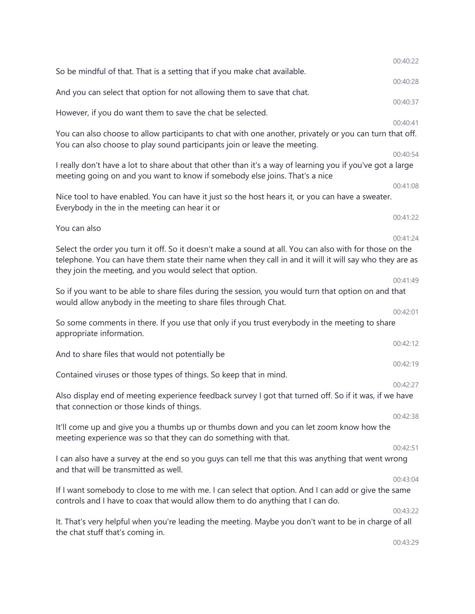|                                                                                                                                                                                                                                                                                | 00:40:22 |
|--------------------------------------------------------------------------------------------------------------------------------------------------------------------------------------------------------------------------------------------------------------------------------|----------|
| So be mindful of that. That is a setting that if you make chat available.                                                                                                                                                                                                      | 00:40:28 |
| And you can select that option for not allowing them to save that chat.                                                                                                                                                                                                        |          |
| However, if you do want them to save the chat be selected.                                                                                                                                                                                                                     | 00:40:37 |
|                                                                                                                                                                                                                                                                                | 00:40:41 |
| You can also choose to allow participants to chat with one another, privately or you can turn that off.<br>You can also choose to play sound participants join or leave the meeting.                                                                                           |          |
|                                                                                                                                                                                                                                                                                | 00:40:54 |
| I really don't have a lot to share about that other than it's a way of learning you if you've got a large<br>meeting going on and you want to know if somebody else joins. That's a nice                                                                                       |          |
|                                                                                                                                                                                                                                                                                | 00:41:08 |
| Nice tool to have enabled. You can have it just so the host hears it, or you can have a sweater.<br>Everybody in the in the meeting can hear it or                                                                                                                             |          |
|                                                                                                                                                                                                                                                                                | 00:41:22 |
| You can also                                                                                                                                                                                                                                                                   | 00:41:24 |
| Select the order you turn it off. So it doesn't make a sound at all. You can also with for those on the<br>telephone. You can have them state their name when they call in and it will it will say who they are as<br>they join the meeting, and you would select that option. |          |
|                                                                                                                                                                                                                                                                                | 00:41:49 |
| So if you want to be able to share files during the session, you would turn that option on and that<br>would allow anybody in the meeting to share files through Chat.                                                                                                         |          |
| So some comments in there. If you use that only if you trust everybody in the meeting to share<br>appropriate information.                                                                                                                                                     | 00:42:01 |
| And to share files that would not potentially be                                                                                                                                                                                                                               | 00:42:12 |
|                                                                                                                                                                                                                                                                                | 00:42:19 |
| Contained viruses or those types of things. So keep that in mind.                                                                                                                                                                                                              | 00:42:27 |
| Also display end of meeting experience feedback survey I got that turned off. So if it was, if we have<br>that connection or those kinds of things.                                                                                                                            |          |
|                                                                                                                                                                                                                                                                                | 00:42:38 |
| It'll come up and give you a thumbs up or thumbs down and you can let zoom know how the<br>meeting experience was so that they can do something with that.                                                                                                                     |          |
|                                                                                                                                                                                                                                                                                | 00:42:51 |
| I can also have a survey at the end so you guys can tell me that this was anything that went wrong<br>and that will be transmitted as well.                                                                                                                                    |          |
|                                                                                                                                                                                                                                                                                | 00:43:04 |
| If I want somebody to close to me with me. I can select that option. And I can add or give the same<br>controls and I have to coax that would allow them to do anything that I can do.                                                                                         |          |
| It. That's very helpful when you're leading the meeting. Maybe you don't want to be in charge of all                                                                                                                                                                           | 00:43:22 |
| the chat stuff that's coming in.                                                                                                                                                                                                                                               | 00:43:29 |
|                                                                                                                                                                                                                                                                                |          |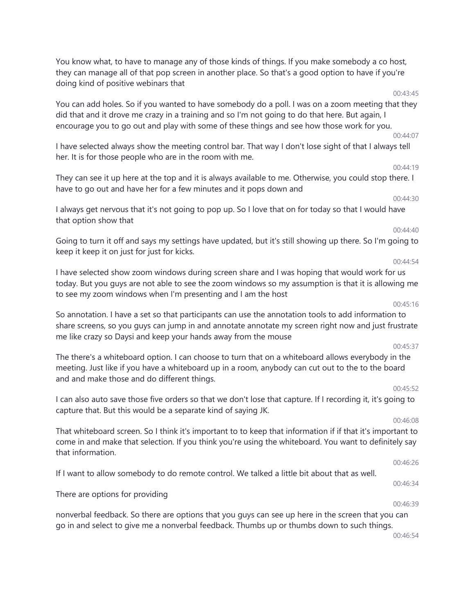You know what, to have to manage any of those kinds of things. If you make somebody a co host, they can manage all of that pop screen in another place. So that's a good option to have if you're doing kind of positive webinars that

You can add holes. So if you wanted to have somebody do a poll. I was on a zoom meeting that they did that and it drove me crazy in a training and so I'm not going to do that here. But again, I encourage you to go out and play with some of these things and see how those work for you.

I have selected always show the meeting control bar. That way I don't lose sight of that I always tell her. It is for those people who are in the room with me.

They can see it up here at the top and it is always available to me. Otherwise, you could stop there. I have to go out and have her for a few minutes and it pops down and

I always get nervous that it's not going to pop up. So I love that on for today so that I would have that option show that

Going to turn it off and says my settings have updated, but it's still showing up there. So I'm going to keep it keep it on just for just for kicks.

#### 00:44:54

I have selected show zoom windows during screen share and I was hoping that would work for us today. But you guys are not able to see the zoom windows so my assumption is that it is allowing me to see my zoom windows when I'm presenting and I am the host

So annotation. I have a set so that participants can use the annotation tools to add information to share screens, so you guys can jump in and annotate annotate my screen right now and just frustrate me like crazy so Daysi and keep your hands away from the mouse

The there's a whiteboard option. I can choose to turn that on a whiteboard allows everybody in the meeting. Just like if you have a whiteboard up in a room, anybody can cut out to the to the board and and make those and do different things.

I can also auto save those five orders so that we don't lose that capture. If I recording it, it's going to capture that. But this would be a separate kind of saying JK.

That whiteboard screen. So I think it's important to to keep that information if if that it's important to come in and make that selection. If you think you're using the whiteboard. You want to definitely say that information.

If I want to allow somebody to do remote control. We talked a little bit about that as well.

There are options for providing

nonverbal feedback. So there are options that you guys can see up here in the screen that you can go in and select to give me a nonverbal feedback. Thumbs up or thumbs down to such things.

00:46:54

# 00:45:37

# 00:45:52

00:46:08

00:46:26

00:46:34

00:46:39

## 00:45:16

# 00:43:45

00:44:07

00:44:19

00:44:30

00:44:40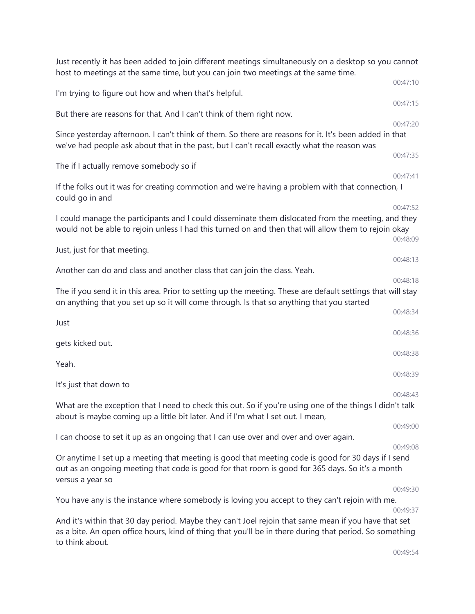| Just recently it has been added to join different meetings simultaneously on a desktop so you cannot<br>host to meetings at the same time, but you can join two meetings at the same time.                                         |          |
|------------------------------------------------------------------------------------------------------------------------------------------------------------------------------------------------------------------------------------|----------|
|                                                                                                                                                                                                                                    | 00:47:10 |
| I'm trying to figure out how and when that's helpful.                                                                                                                                                                              | 00:47:15 |
| But there are reasons for that. And I can't think of them right now.                                                                                                                                                               | 00:47:20 |
| Since yesterday afternoon. I can't think of them. So there are reasons for it. It's been added in that<br>we've had people ask about that in the past, but I can't recall exactly what the reason was                              |          |
| The if I actually remove somebody so if                                                                                                                                                                                            | 00:47:35 |
| If the folks out it was for creating commotion and we're having a problem with that connection, I<br>could go in and                                                                                                               | 00:47:41 |
|                                                                                                                                                                                                                                    | 00:47:52 |
| I could manage the participants and I could disseminate them dislocated from the meeting, and they<br>would not be able to rejoin unless I had this turned on and then that will allow them to rejoin okay                         | 00:48:09 |
| Just, just for that meeting.                                                                                                                                                                                                       |          |
| Another can do and class and another class that can join the class. Yeah.                                                                                                                                                          | 00:48:13 |
|                                                                                                                                                                                                                                    | 00:48:18 |
| The if you send it in this area. Prior to setting up the meeting. These are default settings that will stay<br>on anything that you set up so it will come through. Is that so anything that you started                           |          |
| Just                                                                                                                                                                                                                               | 00:48:34 |
|                                                                                                                                                                                                                                    | 00:48:36 |
| gets kicked out.                                                                                                                                                                                                                   | 00:48:38 |
| Yeah.                                                                                                                                                                                                                              | 00:48:39 |
| It's just that down to                                                                                                                                                                                                             |          |
|                                                                                                                                                                                                                                    | 00:48:43 |
| What are the exception that I need to check this out. So if you're using one of the things I didn't talk<br>about is maybe coming up a little bit later. And if I'm what I set out. I mean,                                        |          |
|                                                                                                                                                                                                                                    | 00:49:00 |
| I can choose to set it up as an ongoing that I can use over and over and over again.                                                                                                                                               | 00:49:08 |
| Or anytime I set up a meeting that meeting is good that meeting code is good for 30 days if I send<br>out as an ongoing meeting that code is good for that room is good for 365 days. So it's a month<br>versus a year so          |          |
|                                                                                                                                                                                                                                    | 00:49:30 |
| You have any is the instance where somebody is loving you accept to they can't rejoin with me.                                                                                                                                     | 00:49:37 |
| And it's within that 30 day period. Maybe they can't Joel rejoin that same mean if you have that set<br>as a bite. An open office hours, kind of thing that you'll be in there during that period. So something<br>to think about. |          |
|                                                                                                                                                                                                                                    | 00:49:54 |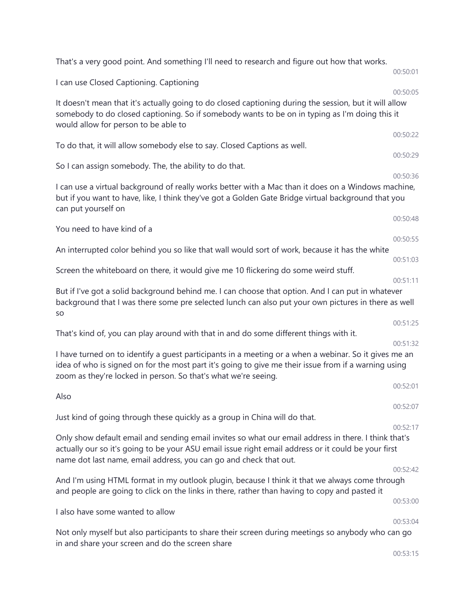| That's a very good point. And something I'll need to research and figure out how that works.                                                                                                                                                                                     | 00:50:01             |
|----------------------------------------------------------------------------------------------------------------------------------------------------------------------------------------------------------------------------------------------------------------------------------|----------------------|
| I can use Closed Captioning. Captioning                                                                                                                                                                                                                                          |                      |
| It doesn't mean that it's actually going to do closed captioning during the session, but it will allow<br>somebody to do closed captioning. So if somebody wants to be on in typing as I'm doing this it<br>would allow for person to be able to                                 | 00:50:05             |
| To do that, it will allow somebody else to say. Closed Captions as well.                                                                                                                                                                                                         | 00:50:22             |
| So I can assign somebody. The, the ability to do that.                                                                                                                                                                                                                           | 00:50:29             |
| I can use a virtual background of really works better with a Mac than it does on a Windows machine,<br>but if you want to have, like, I think they've got a Golden Gate Bridge virtual background that you<br>can put yourself on                                                | 00:50:36             |
| You need to have kind of a                                                                                                                                                                                                                                                       | 00:50:48             |
|                                                                                                                                                                                                                                                                                  | 00:50:55             |
| An interrupted color behind you so like that wall would sort of work, because it has the white                                                                                                                                                                                   | 00:51:03             |
| Screen the whiteboard on there, it would give me 10 flickering do some weird stuff.                                                                                                                                                                                              | 00:51:11             |
| But if I've got a solid background behind me. I can choose that option. And I can put in whatever<br>background that I was there some pre selected lunch can also put your own pictures in there as well<br>SO                                                                   |                      |
| That's kind of, you can play around with that in and do some different things with it.                                                                                                                                                                                           | 00:51:25             |
| I have turned on to identify a guest participants in a meeting or a when a webinar. So it gives me an<br>idea of who is signed on for the most part it's going to give me their issue from if a warning using<br>zoom as they're locked in person. So that's what we're seeing.  | 00:51:32<br>00:52:01 |
| Also                                                                                                                                                                                                                                                                             |                      |
| Just kind of going through these quickly as a group in China will do that.                                                                                                                                                                                                       | 00:52:07             |
|                                                                                                                                                                                                                                                                                  | 00:52:17             |
| Only show default email and sending email invites so what our email address in there. I think that's<br>actually our so it's going to be your ASU email issue right email address or it could be your first<br>name dot last name, email address, you can go and check that out. |                      |
| And I'm using HTML format in my outlook plugin, because I think it that we always come through                                                                                                                                                                                   | 00:52:42             |
| and people are going to click on the links in there, rather than having to copy and pasted it                                                                                                                                                                                    |                      |
| I also have some wanted to allow                                                                                                                                                                                                                                                 | 00:53:00             |
|                                                                                                                                                                                                                                                                                  | 00:53:04             |
| Not only myself but also participants to share their screen during meetings so anybody who can go<br>in and share your screen and do the screen share                                                                                                                            |                      |
|                                                                                                                                                                                                                                                                                  | 00:53:15             |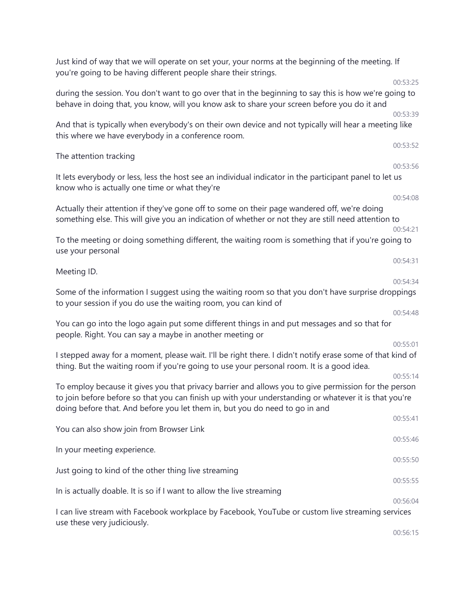| Just kind of way that we will operate on set your, your norms at the beginning of the meeting. If<br>you're going to be having different people share their strings.                                                                                                                         |          |
|----------------------------------------------------------------------------------------------------------------------------------------------------------------------------------------------------------------------------------------------------------------------------------------------|----------|
|                                                                                                                                                                                                                                                                                              | 00:53:25 |
| during the session. You don't want to go over that in the beginning to say this is how we're going to<br>behave in doing that, you know, will you know ask to share your screen before you do it and                                                                                         |          |
|                                                                                                                                                                                                                                                                                              | 00:53:39 |
| And that is typically when everybody's on their own device and not typically will hear a meeting like<br>this where we have everybody in a conference room.                                                                                                                                  |          |
| The attention tracking                                                                                                                                                                                                                                                                       | 00:53:52 |
|                                                                                                                                                                                                                                                                                              | 00:53:56 |
| It lets everybody or less, less the host see an individual indicator in the participant panel to let us<br>know who is actually one time or what they're                                                                                                                                     |          |
|                                                                                                                                                                                                                                                                                              | 00:54:08 |
| Actually their attention if they've gone off to some on their page wandered off, we're doing<br>something else. This will give you an indication of whether or not they are still need attention to                                                                                          |          |
|                                                                                                                                                                                                                                                                                              | 00:54:21 |
| To the meeting or doing something different, the waiting room is something that if you're going to<br>use your personal                                                                                                                                                                      |          |
| Meeting ID.                                                                                                                                                                                                                                                                                  | 00:54:31 |
|                                                                                                                                                                                                                                                                                              | 00:54:34 |
| Some of the information I suggest using the waiting room so that you don't have surprise droppings<br>to your session if you do use the waiting room, you can kind of                                                                                                                        |          |
|                                                                                                                                                                                                                                                                                              | 00:54:48 |
| You can go into the logo again put some different things in and put messages and so that for<br>people. Right. You can say a maybe in another meeting or                                                                                                                                     |          |
|                                                                                                                                                                                                                                                                                              | 00:55:01 |
| I stepped away for a moment, please wait. I'll be right there. I didn't notify erase some of that kind of<br>thing. But the waiting room if you're going to use your personal room. It is a good idea.                                                                                       |          |
|                                                                                                                                                                                                                                                                                              | 00:55:14 |
| To employ because it gives you that privacy barrier and allows you to give permission for the person<br>to join before before so that you can finish up with your understanding or whatever it is that you're<br>doing before that. And before you let them in, but you do need to go in and |          |
|                                                                                                                                                                                                                                                                                              | 00:55:41 |
| You can also show join from Browser Link                                                                                                                                                                                                                                                     | 00:55:46 |
| In your meeting experience.                                                                                                                                                                                                                                                                  |          |
| Just going to kind of the other thing live streaming                                                                                                                                                                                                                                         | 00:55:50 |
|                                                                                                                                                                                                                                                                                              | 00:55:55 |
| In is actually doable. It is so if I want to allow the live streaming                                                                                                                                                                                                                        | 00:56:04 |
| I can live stream with Facebook workplace by Facebook, YouTube or custom live streaming services<br>use these very judiciously.                                                                                                                                                              |          |
|                                                                                                                                                                                                                                                                                              | 00:56:15 |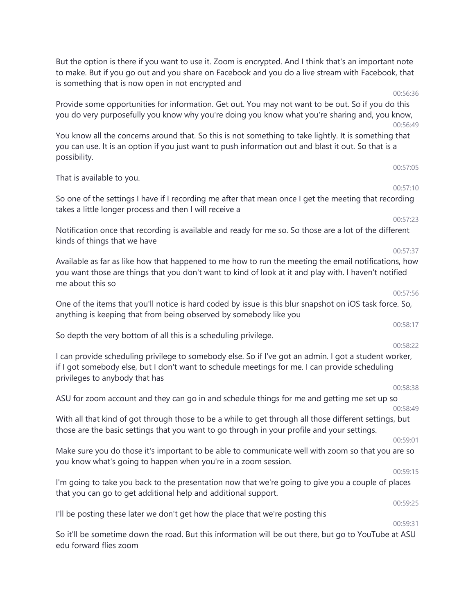But the option is there if you want to use it. Zoom is encrypted. And I think that's an important note to make. But if you go out and you share on Facebook and you do a live stream with Facebook, that is something that is now open in not encrypted and

Provide some opportunities for information. Get out. You may not want to be out. So if you do this you do very purposefully you know why you're doing you know what you're sharing and, you know, 00:56:49

You know all the concerns around that. So this is not something to take lightly. It is something that you can use. It is an option if you just want to push information out and blast it out. So that is a possibility.

That is available to you.

So one of the settings I have if I recording me after that mean once I get the meeting that recording takes a little longer process and then I will receive a

Notification once that recording is available and ready for me so. So those are a lot of the different kinds of things that we have

Available as far as like how that happened to me how to run the meeting the email notifications, how you want those are things that you don't want to kind of look at it and play with. I haven't notified me about this so

One of the items that you'll notice is hard coded by issue is this blur snapshot on iOS task force. So, anything is keeping that from being observed by somebody like you

So depth the very bottom of all this is a scheduling privilege.

I can provide scheduling privilege to somebody else. So if I've got an admin. I got a student worker, if I got somebody else, but I don't want to schedule meetings for me. I can provide scheduling privileges to anybody that has

ASU for zoom account and they can go in and schedule things for me and getting me set up so 00:58:49

With all that kind of got through those to be a while to get through all those different settings, but those are the basic settings that you want to go through in your profile and your settings.

Make sure you do those it's important to be able to communicate well with zoom so that you are so you know what's going to happen when you're in a zoom session.

I'm going to take you back to the presentation now that we're going to give you a couple of places that you can go to get additional help and additional support.

I'll be posting these later we don't get how the place that we're posting this

00:59:31

00:59:25

So it'll be sometime down the road. But this information will be out there, but go to YouTube at ASU edu forward flies zoom

# 00:57:37

### 00:57:56

# 00:58:17

### 00:58:22

# 00:59:01

00:59:15

### 00:58:38

00:57:23

00:57:05

00:57:10

00:56:36